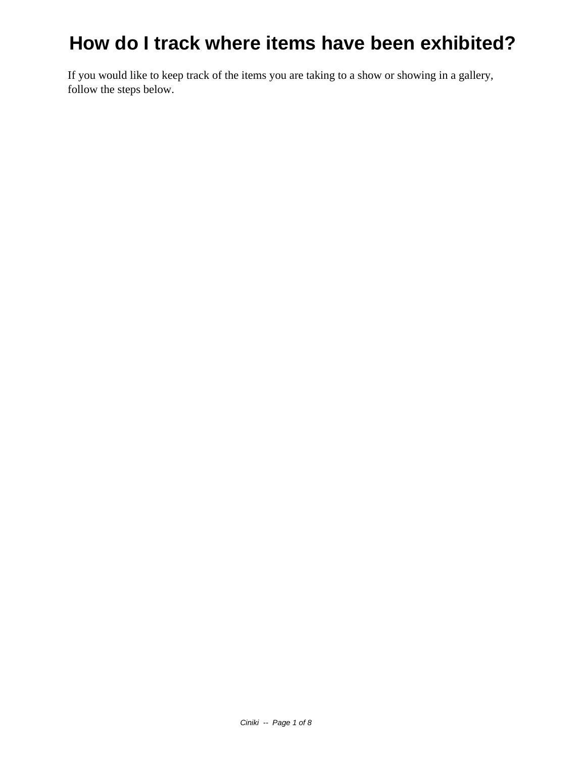If you would like to keep track of the items you are taking to a show or showing in a gallery, follow the steps below.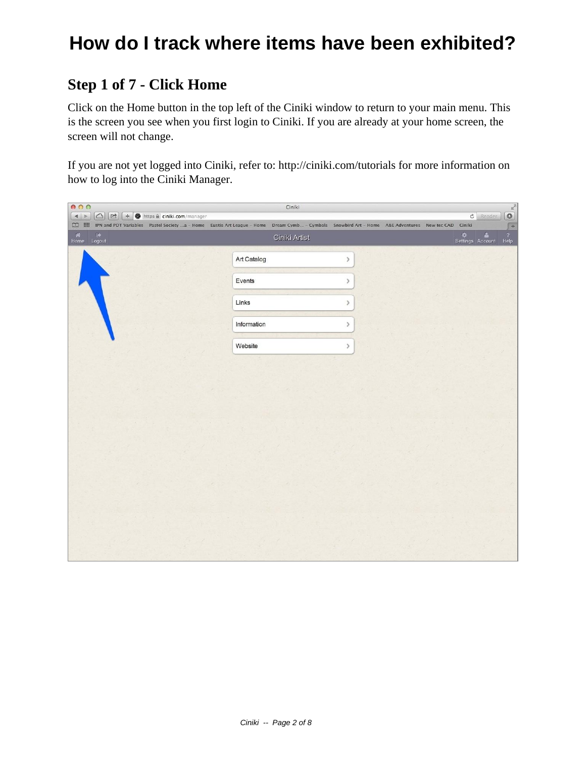#### **Step 1 of 7 - Click Home**

Click on the Home button in the top left of the Ciniki window to return to your main menu. This is the screen you see when you first login to Ciniki. If you are already at your home screen, the screen will not change.

If you are not yet logged into Ciniki, refer to: http://ciniki.com/tutorials for more information on how to log into the Ciniki Manager.

| 000                                                                                                                                                                                                                                                                                                                                                                                                                                                            | Ciniki        |      | $\begin{array}{c} \mathbf{C} \\ \mathbf{C} \\ \hline \end{array}$ |
|----------------------------------------------------------------------------------------------------------------------------------------------------------------------------------------------------------------------------------------------------------------------------------------------------------------------------------------------------------------------------------------------------------------------------------------------------------------|---------------|------|-------------------------------------------------------------------|
| $\begin{array}{c c c c} \hline \multicolumn{3}{c }{\mathbf{4}} & \multicolumn{3}{c }{\mathbf{5}}\\ \hline \multicolumn{3}{c }{\mathbf{6}} & \multicolumn{3}{c }{\mathbf{6}}\\ \hline \multicolumn{3}{c }{\mathbf{7}} & \multicolumn{3}{c }{\mathbf{8}}\\ \hline \multicolumn{3}{c }{\mathbf{8}} & \multicolumn{3}{c }{\mathbf{9}}\\ \hline \multicolumn{3}{c }{\mathbf{1}} & \multicolumn{3}{c }{\mathbf{1}}\\ \hline \multicolumn{3}{c }{\mathbf{1}} & \mult$ |               |      | $\circ$<br>Reader                                                 |
| [1] III IPN and PDT Variables Pastel Society  a - Home Eustis Art League - Home Dream Cymb - Cymbals Snowbird Art - Home A&E Adventures New tec CAD Ciniki                                                                                                                                                                                                                                                                                                     |               |      | $\sqrt{1 + \frac{1}{2}}$                                          |
| A G<br>Home Logout                                                                                                                                                                                                                                                                                                                                                                                                                                             | Ciniki Artist |      | Settings Account<br>$r_{\text{Help}}^2$                           |
|                                                                                                                                                                                                                                                                                                                                                                                                                                                                | Art Catalog   | $\,$ |                                                                   |
|                                                                                                                                                                                                                                                                                                                                                                                                                                                                | Events        | $\,$ |                                                                   |
|                                                                                                                                                                                                                                                                                                                                                                                                                                                                | Links         | $\,$ |                                                                   |
|                                                                                                                                                                                                                                                                                                                                                                                                                                                                | Information   | $\,$ |                                                                   |
|                                                                                                                                                                                                                                                                                                                                                                                                                                                                | Website       | $\,$ |                                                                   |
|                                                                                                                                                                                                                                                                                                                                                                                                                                                                |               |      |                                                                   |
|                                                                                                                                                                                                                                                                                                                                                                                                                                                                |               |      |                                                                   |
|                                                                                                                                                                                                                                                                                                                                                                                                                                                                |               |      |                                                                   |
|                                                                                                                                                                                                                                                                                                                                                                                                                                                                |               |      |                                                                   |
|                                                                                                                                                                                                                                                                                                                                                                                                                                                                |               |      |                                                                   |
|                                                                                                                                                                                                                                                                                                                                                                                                                                                                |               |      |                                                                   |
|                                                                                                                                                                                                                                                                                                                                                                                                                                                                |               |      |                                                                   |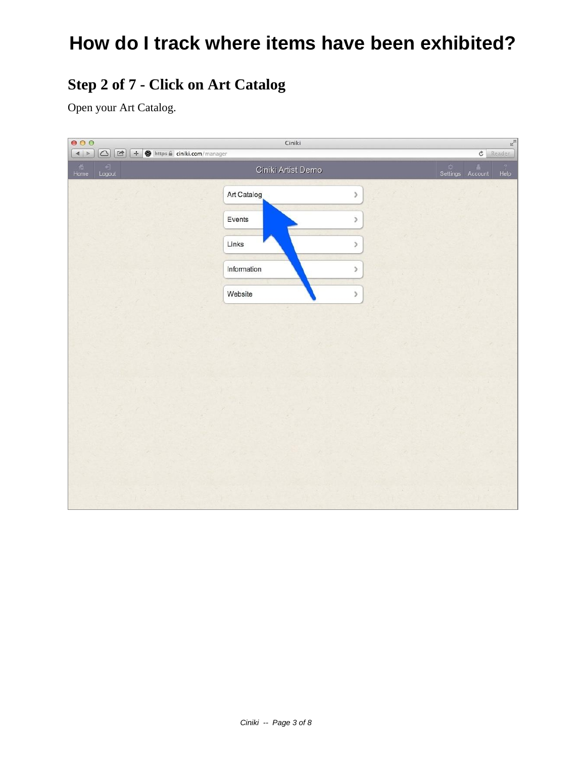### **Step 2 of 7 - Click on Art Catalog**

Open your Art Catalog.

| $\mathbb{R}^{\overline{\mathbb{N}}}$<br>000<br>Ciniki          |                     |                                                       |  |  |  |  |
|----------------------------------------------------------------|---------------------|-------------------------------------------------------|--|--|--|--|
| O + ttps a ciniki.com/manager<br>$\vert$                       |                     | $c$ Reader                                            |  |  |  |  |
| $\begin{array}{c}\n\hline\n\end{array}$ Logout<br>Home<br>Home | Ciniki Artist Demo  | Settings Account<br>$\overline{2}$<br>$\mathsf{Help}$ |  |  |  |  |
|                                                                | Art Catalog<br>$\,$ |                                                       |  |  |  |  |
|                                                                | Events<br>$\,$      |                                                       |  |  |  |  |
|                                                                | Links<br>$\,$       |                                                       |  |  |  |  |
|                                                                | Information<br>$\,$ |                                                       |  |  |  |  |
|                                                                | Website<br>$\,$     |                                                       |  |  |  |  |
|                                                                |                     |                                                       |  |  |  |  |
|                                                                |                     |                                                       |  |  |  |  |
|                                                                |                     |                                                       |  |  |  |  |
|                                                                |                     |                                                       |  |  |  |  |
|                                                                |                     |                                                       |  |  |  |  |
|                                                                |                     |                                                       |  |  |  |  |
|                                                                |                     |                                                       |  |  |  |  |
|                                                                |                     |                                                       |  |  |  |  |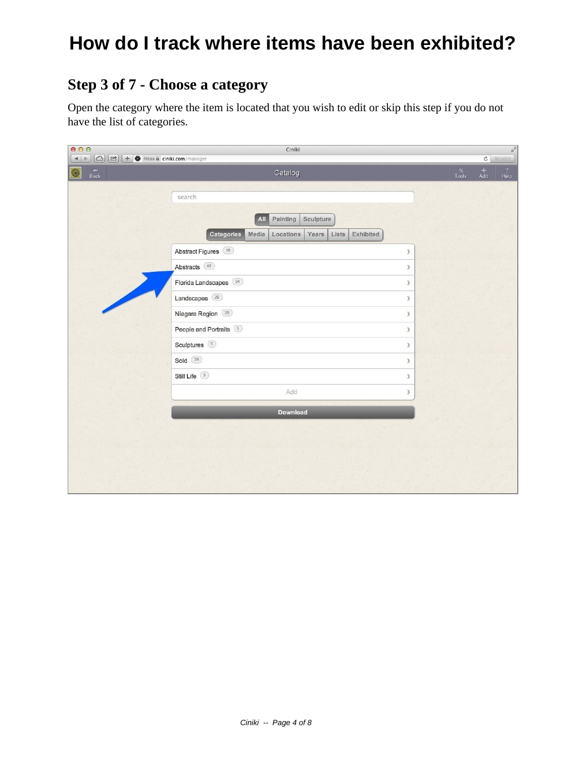### **Step 3 of 7 - Choose a category**

Open the category where the item is located that you wish to edit or skip this step if you do not have the list of categories.

| 000                              | Ciniki                                                                                                           |               |  |                             |                                             | $\mathbb{R}^{\overline{\mathbb{N}}}$ |
|----------------------------------|------------------------------------------------------------------------------------------------------------------|---------------|--|-----------------------------|---------------------------------------------|--------------------------------------|
| $\vert A \vert \geq 0$           | $\boxed{\bigcirc}$ $\boxed{\mathcal{P}}$ $\boxed{+$ $\textcircled{}}$ https $\textcircled{}}$ ciniki.com/manager |               |  |                             | $\mathfrak{S}% _{A}^{\ast}(\mathbb{R}^{N})$ | Reader                               |
| $\overbrace{\mathsf{Back}}$<br>0 | Catalog                                                                                                          |               |  | $\mathbf{\hat{x}}$<br>Tools | $rac{+}{Add}$                               | $\frac{?}{Hebp}$                     |
|                                  |                                                                                                                  |               |  |                             |                                             |                                      |
|                                  | search                                                                                                           |               |  |                             |                                             |                                      |
|                                  | Painting<br>Sculpture<br>All                                                                                     |               |  |                             |                                             |                                      |
|                                  | Categories<br>Lists<br>Exhibited<br>Media<br>Locations<br>Years                                                  |               |  |                             |                                             |                                      |
|                                  | Abstract Figures (16)                                                                                            | $\,$          |  |                             |                                             |                                      |
|                                  | Abstracts (46)                                                                                                   | $\,$          |  |                             |                                             |                                      |
|                                  | Florida Landscapes (34)                                                                                          | $\rightarrow$ |  |                             |                                             |                                      |
|                                  | Landscapes <sup>(29)</sup>                                                                                       | $\,$          |  |                             |                                             |                                      |
|                                  | Niagara Region (20)                                                                                              | $\,$          |  |                             |                                             |                                      |
|                                  | People and Portraits (5)                                                                                         | $\mathcal{P}$ |  |                             |                                             |                                      |
|                                  | Sculptures <sup>5</sup>                                                                                          | $\,$          |  |                             |                                             |                                      |
|                                  | Sold $(39)$                                                                                                      | $\lambda$     |  |                             |                                             |                                      |
|                                  | Still Life 3                                                                                                     | $\rightarrow$ |  |                             |                                             |                                      |
|                                  | Add                                                                                                              | $\rightarrow$ |  |                             |                                             |                                      |
|                                  | <b>Download</b>                                                                                                  |               |  |                             |                                             |                                      |
|                                  |                                                                                                                  |               |  |                             |                                             |                                      |
|                                  |                                                                                                                  |               |  |                             |                                             |                                      |
|                                  |                                                                                                                  |               |  |                             |                                             |                                      |
|                                  |                                                                                                                  |               |  |                             |                                             |                                      |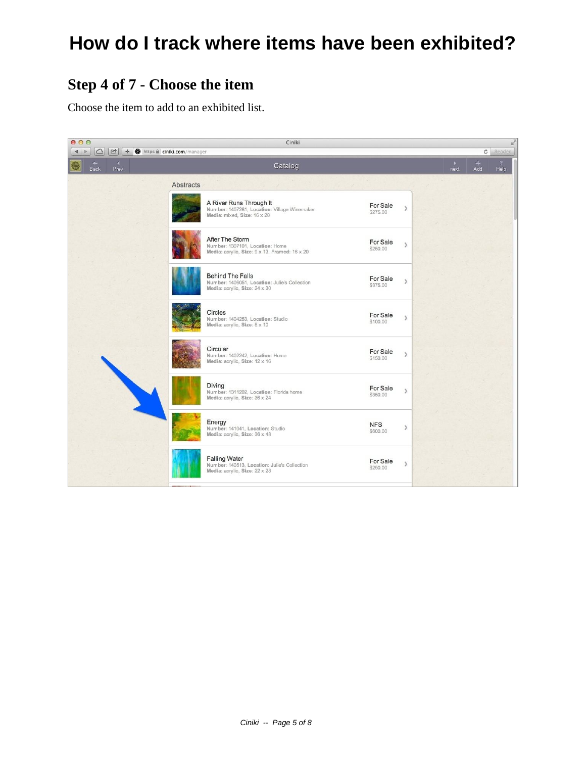### **Step 4 of 7 - Choose the item**

Choose the item to add to an exhibited list.

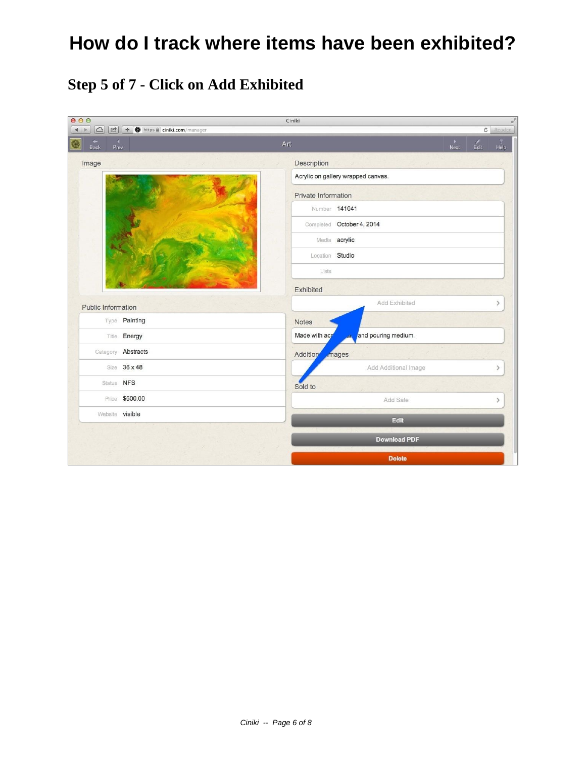### **Step 5 of 7 - Click on Add Exhibited**

| 000<br>$\frac{1}{2}$<br>Ciniki               |                                |                                      |  |                                             |                        |  |  |
|----------------------------------------------|--------------------------------|--------------------------------------|--|---------------------------------------------|------------------------|--|--|
| $\circ$<br>$\Rightarrow$<br>$\left  \right $ | + + https a ciniki.com/manager |                                      |  | $\mathfrak{S}% _{A}^{\ast}(\mathbb{R}^{N})$ | Reader                 |  |  |
| к<br>٠<br>0<br><b>Back</b><br>Prev           |                                | Art                                  |  | £<br>$E$ dit                                | $\overline{2}$<br>Help |  |  |
| Image                                        |                                | Description                          |  |                                             |                        |  |  |
|                                              |                                | Acrylic on gallery wrapped canvas.   |  |                                             |                        |  |  |
|                                              |                                | Private Information                  |  |                                             |                        |  |  |
|                                              |                                | Number 141041                        |  |                                             |                        |  |  |
|                                              |                                | Completed October 4, 2014            |  |                                             |                        |  |  |
|                                              |                                | Media acrylic                        |  |                                             |                        |  |  |
|                                              |                                | Location Studio                      |  |                                             |                        |  |  |
|                                              |                                | Lists                                |  |                                             |                        |  |  |
|                                              |                                | Exhibited                            |  |                                             |                        |  |  |
| Public Information                           |                                | Add Exhibited                        |  |                                             | $\left( \right)$       |  |  |
|                                              | Type Painting                  | Notes                                |  |                                             |                        |  |  |
|                                              | Title <b>Energy</b>            | Made with acr<br>and pouring medium. |  |                                             |                        |  |  |
|                                              | Category <b>Abstracts</b>      | Addition<br>mages                    |  |                                             |                        |  |  |
|                                              | Size 36 x 48                   | Add Additional Image                 |  |                                             | $\rightarrow$          |  |  |
| Status NFS                                   |                                | Sold to                              |  |                                             |                        |  |  |
|                                              | Price \$600.00                 | Add Sale                             |  |                                             | $\rightarrow$          |  |  |
| Website visible                              |                                | Edit                                 |  |                                             |                        |  |  |
|                                              |                                | <b>Download PDF</b>                  |  |                                             |                        |  |  |
|                                              |                                |                                      |  |                                             |                        |  |  |
|                                              |                                | <b>Delete</b>                        |  |                                             |                        |  |  |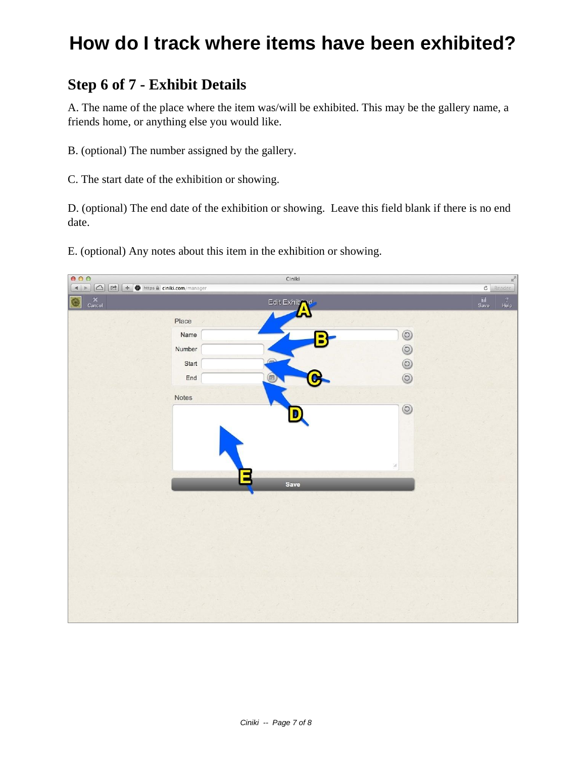#### **Step 6 of 7 - Exhibit Details**

A. The name of the place where the item was/will be exhibited. This may be the gallery name, a friends home, or anything else you would like.

- B. (optional) The number assigned by the gallery.
- C. The start date of the exhibition or showing.

D. (optional) The end date of the exhibition or showing. Leave this field blank if there is no end date.